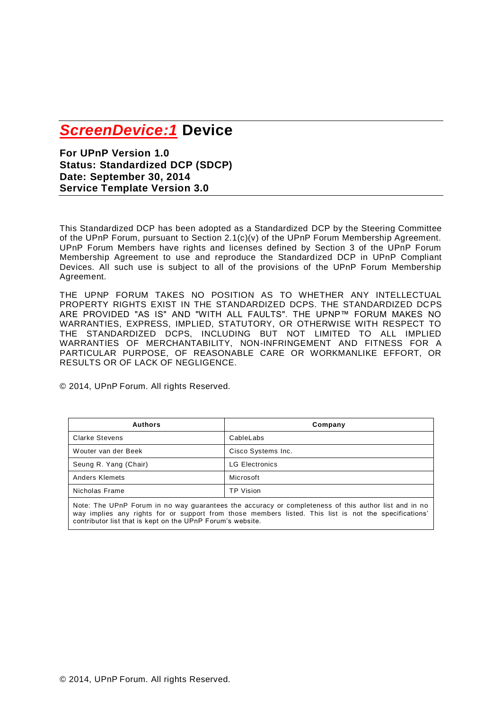# *ScreenDevice:1* **Device**

**For UPnP Version 1.0 Status: Standardized DCP (SDCP) Date: September 30, 2014 Service Template Version 3.0**

This Standardized DCP has been adopted as a Standardized DCP by the Steering Committee of the UPnP Forum, pursuant to Section 2.1(c)(v) of the UPnP Forum Membership Agreement. UPnP Forum Members have rights and licenses defined by Section 3 of the UPnP Forum Membership Agreement to use and reproduce the Standardized DCP in UPnP Compliant Devices. All such use is subject to all of the provisions of the UPnP Forum Membership Agreement.

THE UPNP FORUM TAKES NO POSITION AS TO WHETHER ANY INTELLECTUAL PROPERTY RIGHTS EXIST IN THE STANDARDIZED DCPS. THE STANDARDIZED DCPS ARE PROVIDED "AS IS" AND "WITH ALL FAULTS". THE UPNP™ FORUM MAKES NO WARRANTIES, EXPRESS, IMPLIED, STATUTORY, OR OTHERWISE WITH RESPECT TO THE STANDARDIZED DCPS, INCLUDING BUT NOT LIMITED TO ALL IMPLIED WARRANTIES OF MERCHANTABILITY, NON-INFRINGEMENT AND FITNESS FOR A PARTICULAR PURPOSE, OF REASONABLE CARE OR WORKMANLIKE EFFORT, OR RESULTS OR OF LACK OF NEGLIGENCE.

© 2014, UPnP Forum. All rights Reserved.

| <b>Authors</b>        | Company               |
|-----------------------|-----------------------|
| <b>Clarke Stevens</b> | CableLabs             |
| Wouter van der Beek   | Cisco Systems Inc.    |
| Seung R. Yang (Chair) | <b>LG Electronics</b> |
| <b>Anders Klemets</b> | Microsoft             |
| Nicholas Frame        | <b>TP Vision</b>      |

Note: The UPnP Forum in no way guarantees the accuracy or completeness of this author list and in no way implies any rights for or support from those members listed. This list is not the specifications' contributor list that is kept on the UPnP Forum's website.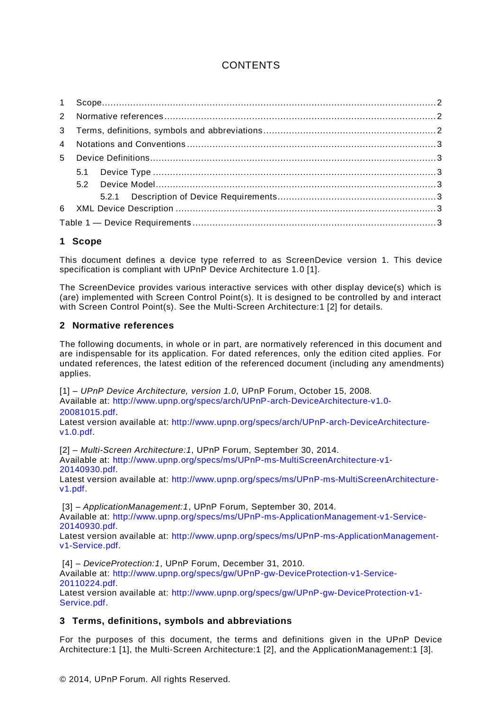# **CONTENTS**

### **1 Scope**

This document defines a device type referred to as ScreenDevice version 1. This device specification is compliant with UPnP Device Architecture 1.0 [\[1\]](#page-1-0).

The ScreenDevice provides various interactive services with other display device(s) which is (are) implemented with Screen Control Point(s). It is designed to be controlled by and interact with Screen Control Point(s). See the Multi-Screen Architecture:1 [\[2\]](#page-1-1) for details.

#### **2 Normative references**

The following documents, in whole or in part, are normatively referenced in this document and are indispensable for its application. For dated references, only the edition cited applies. For undated references, the latest edition of the referenced document (including any amendments) applies.

<span id="page-1-0"></span>[1] – *UPnP Device Architecture, version 1.0*, UPnP Forum, October 15, 2008. Available at: [http://www.upnp.org/specs/arch/UPnP-arch-DeviceArchitecture-v1.0-](http://www.upnp.org/specs/arch/UPnP-arch-DeviceArchitecture-v1.0-20081015.pdf) [20081015.pdf](http://www.upnp.org/specs/arch/UPnP-arch-DeviceArchitecture-v1.0-20081015.pdf).

Latest version available at: [http://www.upnp.org/specs/arch/UPnP-arch-DeviceArchitecture](http://www.upnp.org/specs/arch/UPnP-arch-DeviceArchitecture-v1.0.pdf)[v1.0.pdf.](http://www.upnp.org/specs/arch/UPnP-arch-DeviceArchitecture-v1.0.pdf)

<span id="page-1-1"></span>[2] – *Multi-Screen Architecture:1*, UPnP Forum, September 30, 2014. Available at: [http://www.upnp.org/specs/ms/UPnP-ms-MultiScreenArchitecture-v1-](http://upnp.org/specs/ms/UPnP-ms-MultiScreenArchitecture-v1.pdf) [20140930.pdf.](http://upnp.org/specs/ms/UPnP-ms-MultiScreenArchitecture-v1.pdf)

Latest version available at: [http://www.upnp.org/specs/ms/UPnP-ms-MultiScreenArchitecture](http://www.upnp.org/specs/ms/UPnP-ms-MultiScreenArchitecture-v1.pdf)[v1.pdf.](http://www.upnp.org/specs/ms/UPnP-ms-MultiScreenArchitecture-v1.pdf)

<span id="page-1-2"></span>[3] – *ApplicationManagement:1*, UPnP Forum, September 30, 2014. Available at: [http://www.upnp.org/specs/ms/UPnP-ms-ApplicationManagement-v1-Service-](http://www.upnp.org/specs/ms/UPnP-ms-ApplicationManagement-v1-Service-20140930.pdf)[20140930.pdf.](http://www.upnp.org/specs/ms/UPnP-ms-ApplicationManagement-v1-Service-20140930.pdf)

Latest version available at: [http://www.upnp.org/specs/ms/UPnP-ms-ApplicationManagement](http://www.upnp.org/specs/ms/UPnP-ms-ApplicationManagement-v1-Service.pdf)[v1-Service.pdf.](http://www.upnp.org/specs/ms/UPnP-ms-ApplicationManagement-v1-Service.pdf)

<span id="page-1-3"></span>[4] – *DeviceProtection:1*, UPnP Forum, December 31, 2010. Available at: http://www.upnp.org/specs/gw/UPnP-gw-DeviceProtection-v1-Service-20110224.pdf.

Latest version available at: http://www.upnp.org/specs/gw/UPnP-gw-DeviceProtection-v1- Service.pdf.

#### **3 Terms, definitions, symbols and abbreviations**

For the purposes of this document, the terms and definitions given in the UPnP Device Architecture:1 [\[1\]](#page-1-0), the Multi-Screen Architecture:1 [\[2\]](#page-1-1), and the ApplicationManagement:1 [\[3\]](#page-1-2).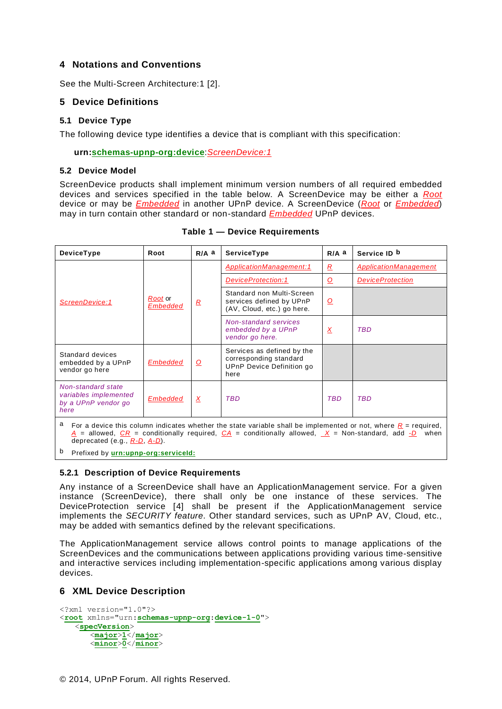#### **4 Notations and Conventions**

See the Multi-Screen Architecture:1 [\[2\]](#page-1-1).

#### **5 Device Definitions**

#### **5.1 Device Type**

The following device type identifies a device that is compliant with this specification:

**urn:schemas-upnp-org:device**:*ScreenDevice:1*

#### **5.2 Device Model**

ScreenDevice products shall implement minimum version numbers of all required embedded devices and services specified in the table below. A ScreenDevice may be either a *Root* device or may be *Embedded* in another UPnP device. A ScreenDevice (*Root* or *Embedded*) may in turn contain other standard or non-standard *Embedded* UPnP devices.

| DeviceType                                                                                                                                                                                                                                                                     | Root                       | $R/A$ a        | ServiceType                                                                               | $R/A$ a                 | Service ID b            |  |  |  |
|--------------------------------------------------------------------------------------------------------------------------------------------------------------------------------------------------------------------------------------------------------------------------------|----------------------------|----------------|-------------------------------------------------------------------------------------------|-------------------------|-------------------------|--|--|--|
|                                                                                                                                                                                                                                                                                |                            | $\overline{R}$ | ApplicationManagement:1                                                                   | $\overline{R}$          | ApplicationManagement   |  |  |  |
|                                                                                                                                                                                                                                                                                | Root or<br><b>Embedded</b> |                | <b>DeviceProtection:1</b>                                                                 | $\Omega$                | <b>DeviceProtection</b> |  |  |  |
| ScreenDevice:1                                                                                                                                                                                                                                                                 |                            |                | Standard non Multi-Screen<br>services defined by UPnP<br>(AV, Cloud, etc.) go here.       | <u>୦</u>                |                         |  |  |  |
|                                                                                                                                                                                                                                                                                |                            |                | <b>Non-standard services</b><br>embedded by a UPnP<br>vendor go here.                     | $\overline{\mathbf{X}}$ | <b>TBD</b>              |  |  |  |
| Standard devices<br>embedded by a UPnP<br>vendor go here                                                                                                                                                                                                                       | <b>Embedded</b>            | $\Omega$       | Services as defined by the<br>corresponding standard<br>UPnP Device Definition go<br>here |                         |                         |  |  |  |
| Non-standard state<br>variables implemented<br>by a UPnP vendor go<br>here                                                                                                                                                                                                     | <b>Embedded</b>            | $\overline{X}$ | <b>TBD</b>                                                                                | <b>TBD</b>              | <b>TBD</b>              |  |  |  |
| а<br>For a device this column indicates whether the state variable shall be implemented or not, where $R =$ required,<br>= allowed, $CR$ = conditionally required, $CA$ = conditionally allowed, $X$ = Non-standard, add -D<br>when<br>A<br>deprecated (e.g., $R-D$ , $A-D$ ). |                            |                |                                                                                           |                         |                         |  |  |  |

**Table 1 — Device Requirements**

b Prefixed by **urn:upnp-org:serviceId:**

#### **5.2.1 Description of Device Requirements**

Any instance of a ScreenDevice shall have an ApplicationManagement service. For a given instance (ScreenDevice), there shall only be one instance of these services. The DeviceProtection service [\[4\]](#page-1-3) shall be present if the ApplicationManagement service implements the *SECURITY feature*. Other standard services, such as UPnP AV, Cloud, etc., may be added with semantics defined by the relevant specifications.

The ApplicationManagement service allows control points to manage applications of the ScreenDevices and the communications between applications providing various time-sensitive and interactive services including implementation-specific applications among various display devices.

## **6 XML Device Description**